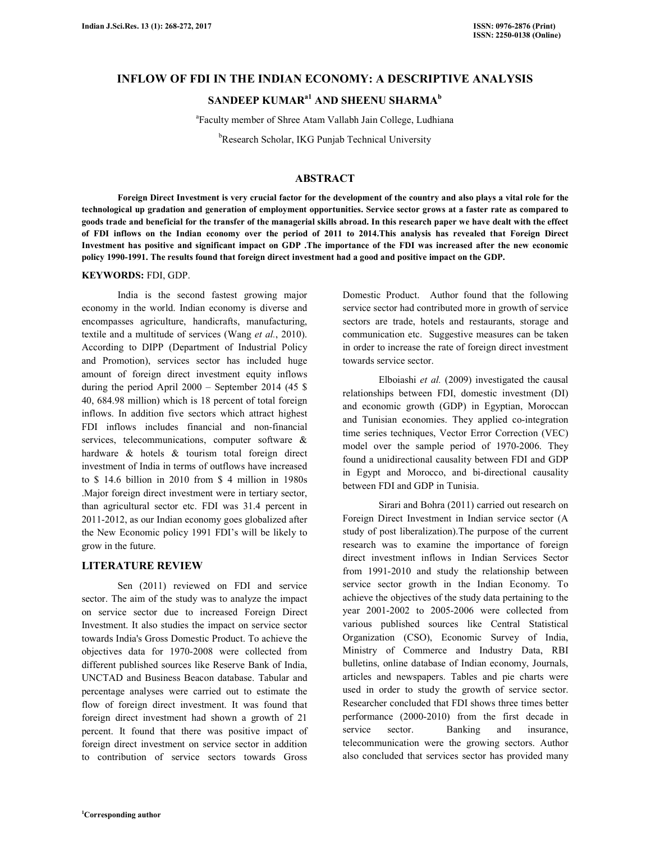## **INFLOW OF FDI IN THE INDIAN ECONOMY: A DESCRIPTIVE ANALYSIS**

# **SANDEEP KUMARa1 AND SHEENU SHARMA<sup>b</sup>**

a Faculty member of Shree Atam Vallabh Jain College, Ludhiana

<sup>b</sup>Research Scholar, IKG Punjab Technical University

## **ABSTRACT**

 **Foreign Direct Investment is very crucial factor for the development of the country and also plays a vital role for the technological up gradation and generation of employment opportunities. Service sector grows at a faster rate as compared to goods trade and beneficial for the transfer of the managerial skills abroad. In this research paper we have dealt with the effect of FDI inflows on the Indian economy over the period of 2011 to 2014.This analysis has revealed that Foreign Direct Investment has positive and significant impact on GDP .The importance of the FDI was increased after the new economic policy 1990-1991. The results found that foreign direct investment had a good and positive impact on the GDP.** 

### **KEYWORDS:** FDI, GDP.

 India is the second fastest growing major economy in the world. Indian economy is diverse and encompasses agriculture, handicrafts, manufacturing, textile and a multitude of services (Wang *et al.*, 2010). According to DIPP (Department of Industrial Policy and Promotion), services sector has included huge amount of foreign direct investment equity inflows during the period April 2000 – September 2014 (45 \$ 40, 684.98 million) which is 18 percent of total foreign inflows. In addition five sectors which attract highest FDI inflows includes financial and non-financial services, telecommunications, computer software & hardware & hotels & tourism total foreign direct investment of India in terms of outflows have increased to \$ 14.6 billion in 2010 from \$ 4 million in 1980s .Major foreign direct investment were in tertiary sector, than agricultural sector etc. FDI was 31.4 percent in 2011-2012, as our Indian economy goes globalized after the New Economic policy 1991 FDI's will be likely to grow in the future.

### **LITERATURE REVIEW**

 Sen (2011) reviewed on FDI and service sector. The aim of the study was to analyze the impact on service sector due to increased Foreign Direct Investment. It also studies the impact on service sector towards India's Gross Domestic Product. To achieve the objectives data for 1970-2008 were collected from different published sources like Reserve Bank of India, UNCTAD and Business Beacon database. Tabular and percentage analyses were carried out to estimate the flow of foreign direct investment. It was found that foreign direct investment had shown a growth of 21 percent. It found that there was positive impact of foreign direct investment on service sector in addition to contribution of service sectors towards Gross

Domestic Product. Author found that the following service sector had contributed more in growth of service sectors are trade, hotels and restaurants, storage and communication etc. Suggestive measures can be taken in order to increase the rate of foreign direct investment towards service sector.

Elboiashi et al. (2009) investigated the causal relationships between FDI, domestic investment (DI) and economic growth (GDP) in Egyptian, Moroccan and Tunisian economies. They applied co-integration time series techniques, Vector Error Correction (VEC) model over the sample period of 1970-2006. They found a unidirectional causality between FDI and GDP in Egypt and Morocco, and bi-directional causality between FDI and GDP in Tunisia.

 Sirari and Bohra (2011) carried out research on Foreign Direct Investment in Indian service sector (A study of post liberalization).The purpose of the current research was to examine the importance of foreign direct investment inflows in Indian Services Sector from 1991-2010 and study the relationship between service sector growth in the Indian Economy. To achieve the objectives of the study data pertaining to the year 2001-2002 to 2005-2006 were collected from various published sources like Central Statistical Organization (CSO), Economic Survey of India, Ministry of Commerce and Industry Data, RBI bulletins, online database of Indian economy, Journals, articles and newspapers. Tables and pie charts were used in order to study the growth of service sector. Researcher concluded that FDI shows three times better performance (2000-2010) from the first decade in service sector. Banking and insurance, telecommunication were the growing sectors. Author also concluded that services sector has provided many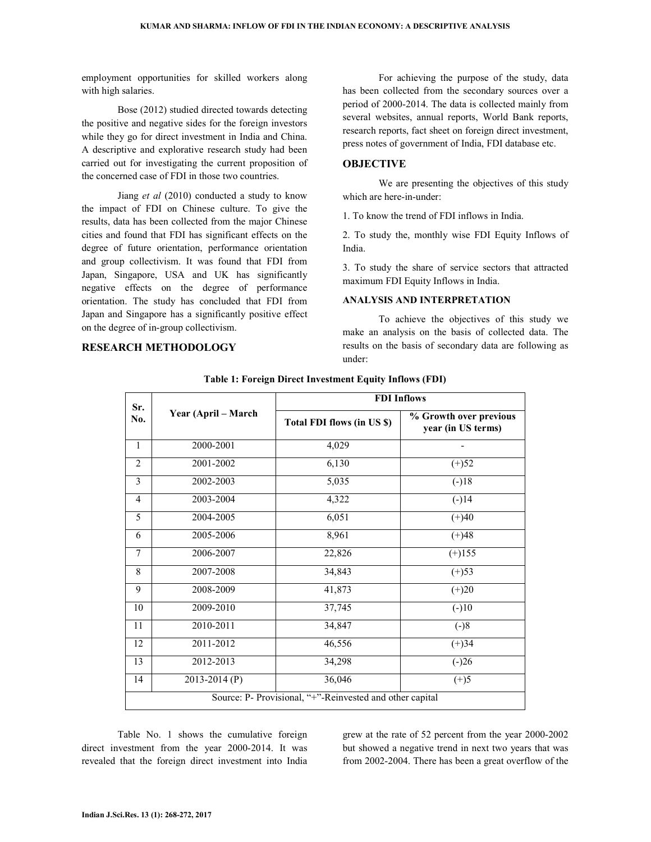employment opportunities for skilled workers along with high salaries.

 Bose (2012) studied directed towards detecting the positive and negative sides for the foreign investors while they go for direct investment in India and China. A descriptive and explorative research study had been carried out for investigating the current proposition of the concerned case of FDI in those two countries.

 Jiang *et al* (2010) conducted a study to know the impact of FDI on Chinese culture. To give the results, data has been collected from the major Chinese cities and found that FDI has significant effects on the degree of future orientation, performance orientation and group collectivism. It was found that FDI from Japan, Singapore, USA and UK has significantly negative effects on the degree of performance orientation. The study has concluded that FDI from Japan and Singapore has a significantly positive effect on the degree of in-group collectivism.

## **RESEARCH METHODOLOGY**

 For achieving the purpose of the study, data has been collected from the secondary sources over a period of 2000-2014. The data is collected mainly from several websites, annual reports, World Bank reports, research reports, fact sheet on foreign direct investment, press notes of government of India, FDI database etc.

### **OBJECTIVE**

 We are presenting the objectives of this study which are here-in-under:

1. To know the trend of FDI inflows in India.

2. To study the, monthly wise FDI Equity Inflows of India.

3. To study the share of service sectors that attracted maximum FDI Equity Inflows in India.

#### **ANALYSIS AND INTERPRETATION**

 To achieve the objectives of this study we make an analysis on the basis of collected data. The results on the basis of secondary data are following as under:

| Sr.<br>No.                                               | Year (April – March | <b>FDI</b> Inflows         |                                              |  |  |  |  |  |
|----------------------------------------------------------|---------------------|----------------------------|----------------------------------------------|--|--|--|--|--|
|                                                          |                     | Total FDI flows (in US \$) | % Growth over previous<br>year (in US terms) |  |  |  |  |  |
| $\mathbf{1}$                                             | 2000-2001           | 4,029                      |                                              |  |  |  |  |  |
| $\overline{2}$                                           | 2001-2002           | 6,130                      | $(+)52$                                      |  |  |  |  |  |
| 3                                                        | 2002-2003           | 5,035                      | $(-)18$                                      |  |  |  |  |  |
| $\overline{4}$                                           | 2003-2004           | 4,322                      | $\sqrt{(-)14}$                               |  |  |  |  |  |
| 5                                                        | 2004-2005           | 6,051                      | $(+)40$                                      |  |  |  |  |  |
| 6                                                        | 2005-2006           | 8,961                      | $(+)48$                                      |  |  |  |  |  |
| $\tau$                                                   | 2006-2007           | 22,826                     | $(+)155$                                     |  |  |  |  |  |
| 8                                                        | 2007-2008           | 34,843                     | $(+)53$                                      |  |  |  |  |  |
| 9                                                        | 2008-2009           | 41,873                     | $(+)20$                                      |  |  |  |  |  |
| 10                                                       | 2009-2010           | 37,745                     | $(-)10$                                      |  |  |  |  |  |
| 11                                                       | 2010-2011           | 34,847                     | $(-)8$                                       |  |  |  |  |  |
| 12                                                       | 2011-2012           | 46,556                     | $(+)34$                                      |  |  |  |  |  |
| 13                                                       | 2012-2013           | 34,298                     | $\overline{(-)26}$                           |  |  |  |  |  |
| 14                                                       | $2013 - 2014(P)$    | 36,046                     | $(+)5$                                       |  |  |  |  |  |
| Source: P- Provisional, "+"-Reinvested and other capital |                     |                            |                                              |  |  |  |  |  |

#### **Table 1: Foreign Direct Investment Equity Inflows (FDI)**

 Table No. 1 shows the cumulative foreign direct investment from the year 2000-2014. It was revealed that the foreign direct investment into India

grew at the rate of 52 percent from the year 2000-2002 but showed a negative trend in next two years that was from 2002-2004. There has been a great overflow of the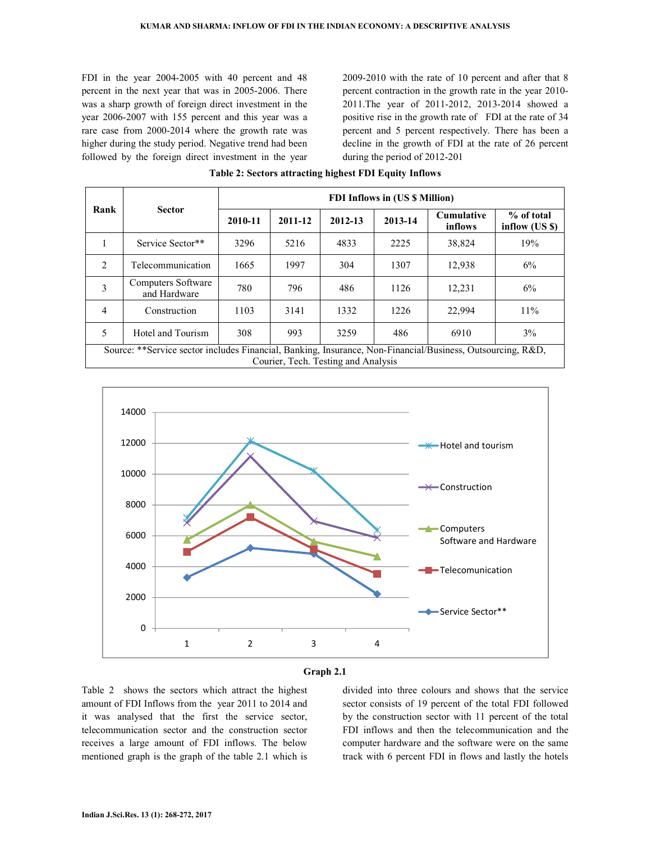FDI in the year 2004-2005 with 40 percent and 48 percent in the next year that was in 2005-2006. There was a sharp growth of foreign direct investment in the year 2006-2007 with 155 percent and this year was a rare case from 2000-2014 where the growth rate was higher during the study period. Negative trend had been followed by the foreign direct investment in the year

2009-2010 with the rate of 10 percent and after that 8 percent contraction in the growth rate in the year 2010- 2011.The year of 2011-2012, 2013-2014 showed a positive rise in the growth rate of FDI at the rate of 34 percent and 5 percent respectively. There has been a decline in the growth of FDI at the rate of 26 percent during the period of 2012-201

| Rank                                                                                                                                              | <b>Sector</b>                      | FDI Inflows in (US \$ Million) |         |         |         |                              |                              |  |  |
|---------------------------------------------------------------------------------------------------------------------------------------------------|------------------------------------|--------------------------------|---------|---------|---------|------------------------------|------------------------------|--|--|
|                                                                                                                                                   |                                    | 2010-11                        | 2011-12 | 2012-13 | 2013-14 | <b>Cumulative</b><br>inflows | % of total<br>inflow (US \$) |  |  |
|                                                                                                                                                   | Service Sector**                   | 3296                           | 5216    | 4833    | 2225    | 38,824                       | 19%                          |  |  |
| $\mathfrak{D}$                                                                                                                                    | Telecommunication                  | 1665                           | 1997    | 304     | 1307    | 12.938                       | 6%                           |  |  |
| 3                                                                                                                                                 | Computers Software<br>and Hardware | 780                            | 796     | 486     | 1126    | 12,231                       | 6%                           |  |  |
| 4                                                                                                                                                 | Construction                       | 1103                           | 3141    | 1332    | 1226    | 22,994                       | 11%                          |  |  |
| 5                                                                                                                                                 | Hotel and Tourism                  | 308                            | 993     | 3259    | 486     | 6910                         | $3\%$                        |  |  |
| Source: **Service sector includes Financial, Banking, Insurance, Non-Financial/Business, Outsourcing, R&D,<br>Courier, Tech. Testing and Analysis |                                    |                                |         |         |         |                              |                              |  |  |

#### **Table 2: Sectors attracting highest FDI Equity Inflows**





Table 2 shows the sectors which attract the highest amount of FDI Inflows from the year 2011 to 2014 and it was analysed that the first the service sector, telecommunication sector and the construction sector receives a large amount of FDI inflows. The below mentioned graph is the graph of the table 2.1 which is

divided into three colours and shows that the service sector consists of 19 percent of the total FDI followed by the construction sector with 11 percent of the total FDI inflows and then the telecommunication and the computer hardware and the software were on the same track with 6 percent FDI in flows and lastly the hotels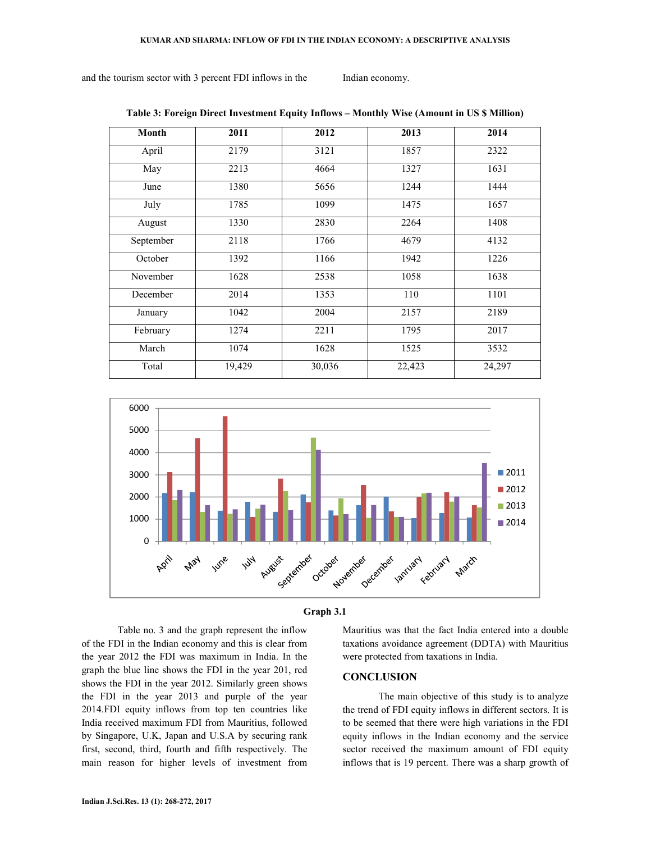and the tourism sector with 3 percent FDI inflows in the Indian economy.

**Month 2011 2012 2013 2014**  April 2179 3121 31857 2322 May 2213 4664 1327 1631 June | 1380 | 5656 | 1244 | 1444 July | 1785 | 1099 | 1475 | 1657 August | 1330 | 2830 | 2264 | 1408 September 2118 1766 4679 4132 October | 1392 | 1166 | 1942 | 1226 November 1628 1638 1058 1638 December 2014 1353 110 1101 January 1042 2004 2157 2189 February 1274 2211 1795 2017 March | 1074 | 1628 | 1525 | 3532 Total 19,429 30,036 22,423 24,297







 Table no. 3 and the graph represent the inflow of the FDI in the Indian economy and this is clear from the year 2012 the FDI was maximum in India. In the graph the blue line shows the FDI in the year 201, red shows the FDI in the year 2012. Similarly green shows the FDI in the year 2013 and purple of the year 2014.FDI equity inflows from top ten countries like India received maximum FDI from Mauritius, followed by Singapore, U.K, Japan and U.S.A by securing rank first, second, third, fourth and fifth respectively. The main reason for higher levels of investment from Mauritius was that the fact India entered into a double taxations avoidance agreement (DDTA) with Mauritius were protected from taxations in India.

#### **CONCLUSION**

 The main objective of this study is to analyze the trend of FDI equity inflows in different sectors. It is to be seemed that there were high variations in the FDI equity inflows in the Indian economy and the service sector received the maximum amount of FDI equity inflows that is 19 percent. There was a sharp growth of